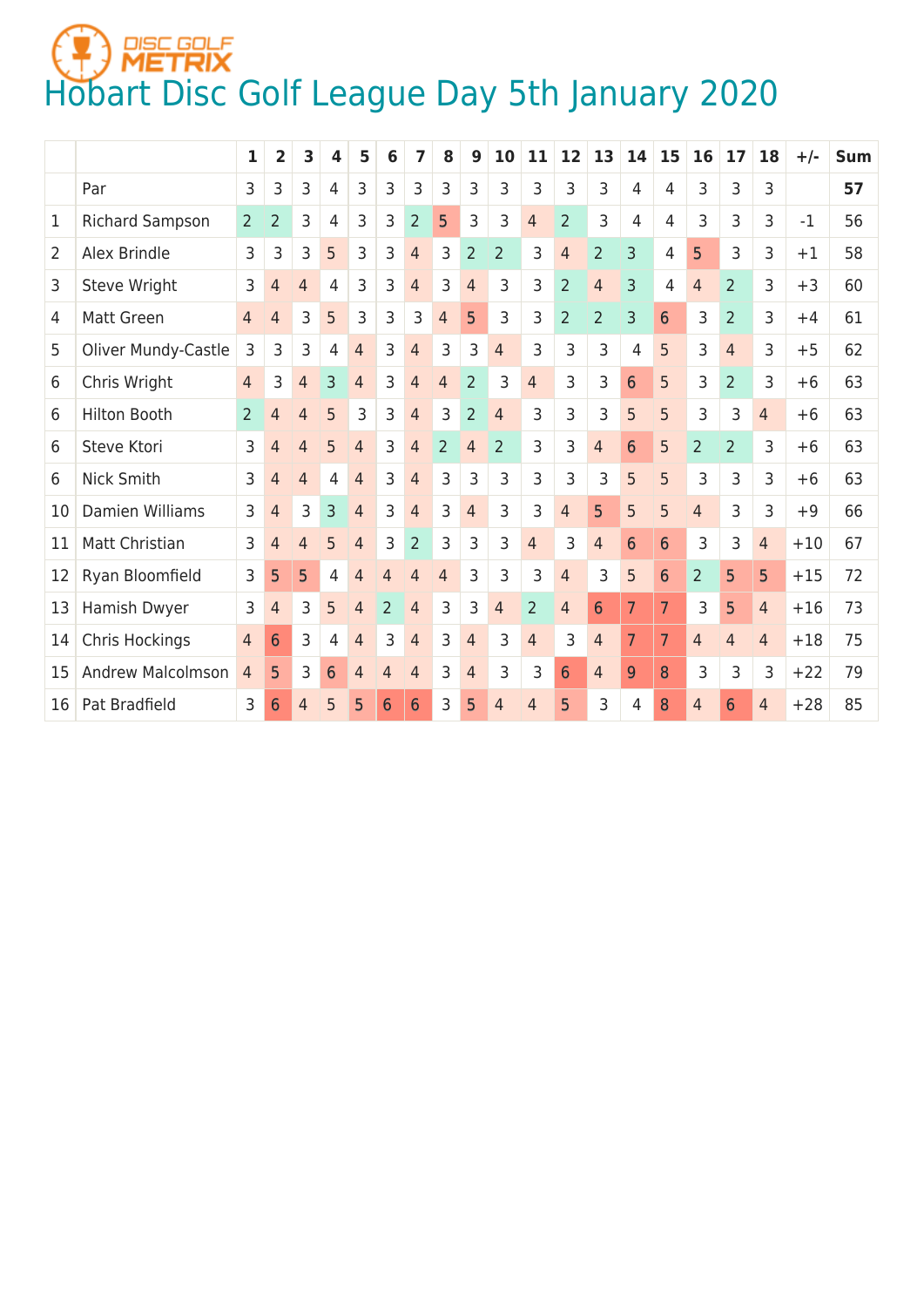## **HOBART START CONTRIGHT CONTRIGHT AND A SET ALL AND A START CONTRIGHT A START CONTRIGHT A START CONTRIGHT A ST**

|                |                          | 1              | 2              | 3              | 4              | 5              | 6              | 7              | 8              | 9              | 10             | 11             | 12              | 13             | 14             | 15             | 16             | 17             | 18             | $+/-$ | <b>Sum</b> |
|----------------|--------------------------|----------------|----------------|----------------|----------------|----------------|----------------|----------------|----------------|----------------|----------------|----------------|-----------------|----------------|----------------|----------------|----------------|----------------|----------------|-------|------------|
|                | Par                      | 3              | 3              | 3              | 4              | 3              | 3              | 3              | 3              | 3              | 3              | 3              | 3               | 3              | 4              | 4              | 3              | 3              | 3              |       | 57         |
| 1              | <b>Richard Sampson</b>   | $\overline{2}$ | $\overline{2}$ | 3              | 4              | 3              | 3              | $\overline{2}$ | 5              | 3              | 3              | $\overline{4}$ | $\overline{2}$  | 3              | 4              | 4              | 3              | 3              | 3              | $-1$  | 56         |
| $\overline{2}$ | Alex Brindle             | 3              | 3              | 3              | 5              | 3              | 3              | $\overline{4}$ | 3              | $\overline{2}$ | $\overline{2}$ | 3              | $\overline{4}$  | $\overline{2}$ | 3              | 4              | 5              | 3              | 3              | $+1$  | 58         |
| 3              | Steve Wright             | 3              | 4              | $\overline{4}$ | 4              | 3              | 3              | $\overline{4}$ | 3              | $\overline{4}$ | 3              | 3              | $\overline{2}$  | $\overline{4}$ | 3              | 4              | $\overline{4}$ | $\overline{2}$ | 3              | $+3$  | 60         |
| 4              | <b>Matt Green</b>        | 4              | $\overline{4}$ | 3              | 5              | 3              | 3              | 3              | $\overline{4}$ | 5              | 3              | 3              | $\overline{2}$  | $\overline{2}$ | 3              | 6              | 3              | $\overline{2}$ | 3              | $+4$  | 61         |
| 5              | Oliver Mundy-Castle      | 3              | 3              | 3              | $\overline{4}$ | $\overline{4}$ | 3              | $\overline{4}$ | 3              | 3              | $\overline{4}$ | 3              | 3               | 3              | 4              | 5              | 3              | $\overline{4}$ | 3              | $+5$  | 62         |
| 6              | Chris Wright             | $\overline{4}$ | 3              | 4              | 3              | $\overline{4}$ | 3              | $\overline{4}$ | $\overline{4}$ | $\overline{2}$ | 3              | $\overline{4}$ | 3               | 3              | 6              | 5              | 3              | $\overline{2}$ | 3              | $+6$  | 63         |
| 6              | <b>Hilton Booth</b>      | $\overline{2}$ | 4              | 4              | 5              | 3              | 3              | $\overline{4}$ | 3              | $\overline{2}$ | $\overline{4}$ | 3              | 3               | 3              | 5              | 5              | 3              | 3              | $\overline{4}$ | $+6$  | 63         |
| 6              | Steve Ktori              | 3              | 4              | $\overline{4}$ | 5              | $\overline{4}$ | 3              | $\overline{4}$ | $\overline{2}$ | $\overline{4}$ | $\overline{2}$ | 3              | 3               | $\overline{4}$ | 6              | 5              | $\overline{2}$ | $\overline{2}$ | 3              | $+6$  | 63         |
| 6              | Nick Smith               | 3              | 4              | $\overline{4}$ | 4              | $\overline{4}$ | 3              | $\overline{4}$ | 3              | 3              | 3              | 3              | 3               | 3              | 5              | 5              | 3              | 3              | 3              | $+6$  | 63         |
| 10             | Damien Williams          | 3              | 4              | 3              | 3              | 4              | 3              | 4              | 3              | $\overline{4}$ | 3              | 3              | $\overline{4}$  | 5              | 5              | 5              | $\overline{4}$ | 3              | 3              | $+9$  | 66         |
| 11             | Matt Christian           | 3              | 4              | $\overline{4}$ | 5              | $\overline{4}$ | 3              | $\overline{2}$ | 3              | 3              | 3              | $\overline{4}$ | 3               | $\overline{4}$ | 6              | 6              | 3              | 3              | $\overline{4}$ | $+10$ | 67         |
| 12             | Ryan Bloomfield          | 3              | 5              | 5              | 4              | $\overline{4}$ | 4              | $\overline{4}$ | $\overline{4}$ | 3              | 3              | 3              | $\overline{4}$  | 3              | 5              | 6              | $\overline{2}$ | 5              | 5              | $+15$ | 72         |
| 13             | Hamish Dwyer             | 3              | $\overline{4}$ | 3              | 5              | 4              | $\overline{2}$ | 4              | 3              | 3              | $\overline{4}$ | $\overline{2}$ | $\overline{4}$  | 6              | $\overline{7}$ | $\overline{7}$ | 3              | 5              | $\overline{4}$ | $+16$ | 73         |
| 14             | Chris Hockings           | 4              | 6              | 3              | 4              | $\overline{4}$ | 3              | $\overline{4}$ | 3              | $\overline{4}$ | 3              | $\overline{4}$ | 3               | $\overline{4}$ | 7              | $\overline{7}$ | $\overline{4}$ | 4              | $\overline{4}$ | $+18$ | 75         |
| 15             | <b>Andrew Malcolmson</b> | $\overline{4}$ | 5              | 3              | 6              | 4              | 4              | 4              | 3              | $\overline{4}$ | 3              | 3              | $6\phantom{1}6$ | 4              | 9              | 8              | 3              | 3              | 3              | $+22$ | 79         |
| 16             | Pat Bradfield            | 3              | 6              | 4              | 5              | 5              | 6              | 6              | 3              | 5              | $\overline{4}$ | $\overline{4}$ | 5               | 3              | 4              | 8              | $\overline{4}$ | 6              | $\overline{4}$ | $+28$ | 85         |